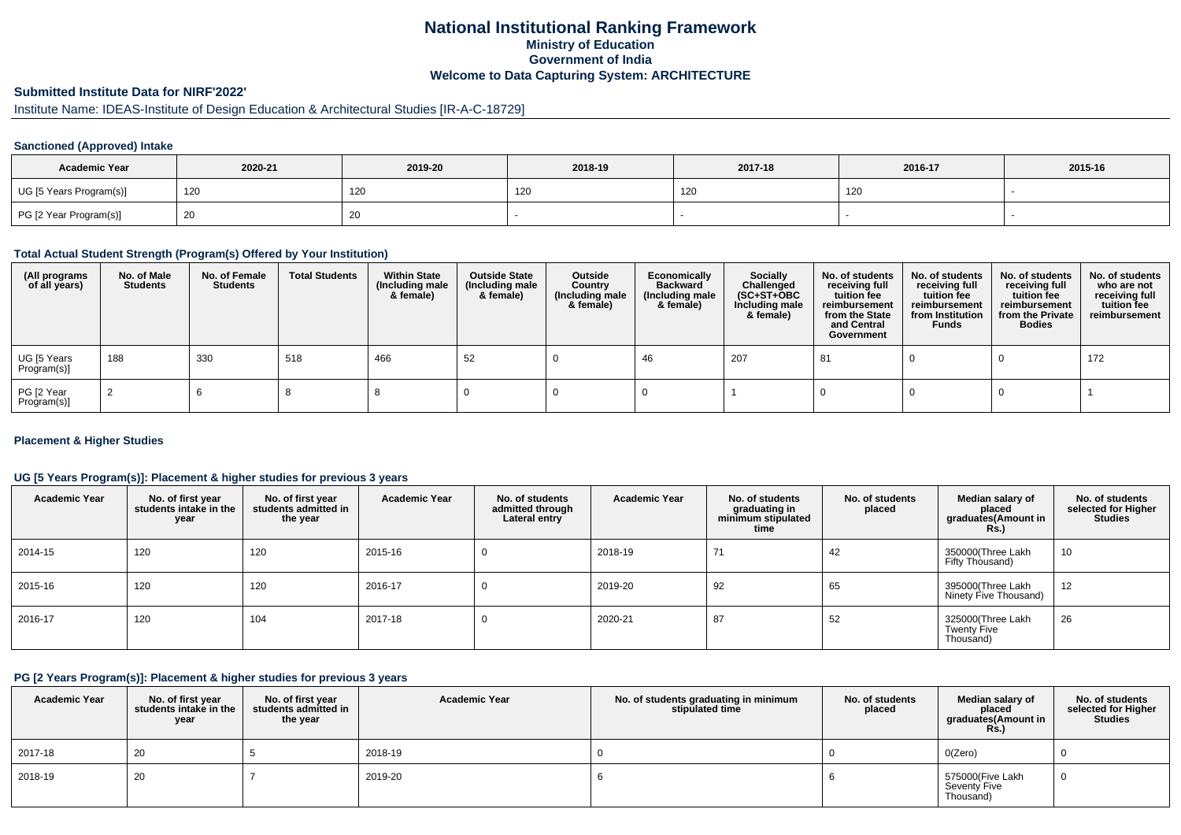## **National Institutional Ranking FrameworkMinistry of Education Government of IndiaWelcome to Data Capturing System: ARCHITECTURE**

# **Submitted Institute Data for NIRF'2022'**

# Institute Name: IDEAS-Institute of Design Education & Architectural Studies [IR-A-C-18729]

### **Sanctioned (Approved) Intake**

| <b>Academic Year</b>    | 2020-21 | 2019-20 | 2018-19 | 2017-18 | 2016-17 | 2015-16 |
|-------------------------|---------|---------|---------|---------|---------|---------|
| UG [5 Years Program(s)] | 120     | 120     | 14V     | 120     | 120     |         |
| PG [2 Year Program(s)]  |         | 20      |         |         |         |         |

#### **Total Actual Student Strength (Program(s) Offered by Your Institution)**

| (All programs<br>of all years) | No. of Male<br><b>Students</b> | No. of Female<br>Students | <b>Total Students</b> | <b>Within State</b><br>(Including male<br>& female) | <b>Outside State</b><br>(Including male<br>& female) | Outside<br>Country<br>(Including male<br>& female) | Economically<br><b>Backward</b><br>(Including male<br>& female) | <b>Socially</b><br>Challenged<br>$(SC+ST+OBC)$<br>Including male<br>& female) | No. of students<br>receiving full<br>tuition fee<br>reimbursement<br>from the State<br>and Central<br>Government | No. of students<br>receiving full<br>tuition fee<br>reimbursement<br>from Institution<br><b>Funds</b> | No. of students<br>receiving full<br>tuition fee<br>reimbursement<br>from the Private<br><b>Bodies</b> | No. of students<br>who are not<br>receiving full<br>tuition fee<br>reimbursement |
|--------------------------------|--------------------------------|---------------------------|-----------------------|-----------------------------------------------------|------------------------------------------------------|----------------------------------------------------|-----------------------------------------------------------------|-------------------------------------------------------------------------------|------------------------------------------------------------------------------------------------------------------|-------------------------------------------------------------------------------------------------------|--------------------------------------------------------------------------------------------------------|----------------------------------------------------------------------------------|
| UG [5 Years<br>Program(s)]     | 188                            | 330                       | 518                   | 466                                                 | 52                                                   |                                                    | 46                                                              | 207                                                                           | 81                                                                                                               |                                                                                                       |                                                                                                        | 172                                                                              |
| PG [2 Year<br>Program(s)]      |                                |                           |                       |                                                     |                                                      |                                                    |                                                                 |                                                                               |                                                                                                                  |                                                                                                       |                                                                                                        |                                                                                  |

### **Placement & Higher Studies**

### **UG [5 Years Program(s)]: Placement & higher studies for previous 3 years**

| <b>Academic Year</b> | No. of first year<br>students intake in the<br>year | No. of first vear<br>students admitted in<br>the year | <b>Academic Year</b> | No. of students<br>admitted through<br>Lateral entry | <b>Academic Year</b> | No. of students<br>graduating in<br>minimum stipulated<br>time | No. of students<br>placed | Median salary of<br>placed<br>graduates(Amount in<br>Rs. | No. of students<br>selected for Higher<br><b>Studies</b> |
|----------------------|-----------------------------------------------------|-------------------------------------------------------|----------------------|------------------------------------------------------|----------------------|----------------------------------------------------------------|---------------------------|----------------------------------------------------------|----------------------------------------------------------|
| 2014-15              | 120                                                 | 120                                                   | 2015-16              | υ                                                    | 2018-19              | 71                                                             | 42                        | 350000(Three Lakh<br>Fifty Thousand)                     | 10                                                       |
| 2015-16              | 120                                                 | 120                                                   | 2016-17              | υ                                                    | 2019-20              | 92                                                             | 65                        | 395000(Three Lakh<br>Ninety Five Thousand)               | 12                                                       |
| 2016-17              | 120                                                 | 104                                                   | 2017-18              | υ                                                    | 2020-21              | 87                                                             | 52                        | 325000(Three Lakh<br><b>Twenty Five</b><br>Thousand)     | 26                                                       |

#### **PG [2 Years Program(s)]: Placement & higher studies for previous 3 years**

| <b>Academic Year</b> | No. of first year<br>students intake in the<br>year | No. of first vear<br>students admitted in<br>the year | <b>Academic Year</b> | No. of students graduating in minimum<br>stipulated time | No. of students<br>placed | Median salary of<br>placed<br>graduates(Amount in<br><b>Rs.)</b> | No. of students<br>selected for Higher<br>Studies |
|----------------------|-----------------------------------------------------|-------------------------------------------------------|----------------------|----------------------------------------------------------|---------------------------|------------------------------------------------------------------|---------------------------------------------------|
| 2017-18              | 20                                                  |                                                       | 2018-19              |                                                          |                           | O(Zero)                                                          |                                                   |
| 2018-19              | 20                                                  |                                                       | 2019-20              |                                                          |                           | 575000(Five Lakh<br>Seventy Five<br>Thousand)                    |                                                   |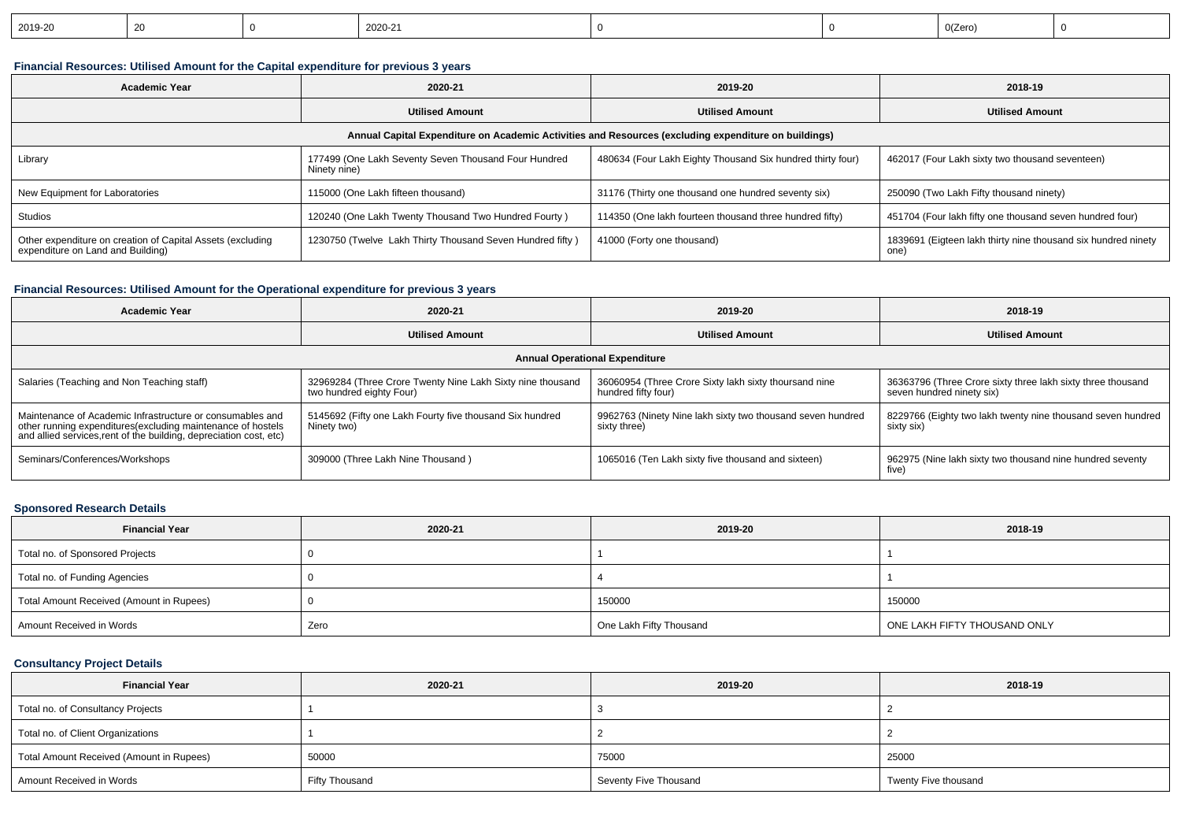| 2019-20<br>2020-21<br>20 | 0(Zero |  |
|--------------------------|--------|--|
|--------------------------|--------|--|

## **Financial Resources: Utilised Amount for the Capital expenditure for previous 3 years**

| Academic Year                                                                                        | 2020-21                                                              |                                                            | 2018-19                                                               |  |  |  |  |  |  |
|------------------------------------------------------------------------------------------------------|----------------------------------------------------------------------|------------------------------------------------------------|-----------------------------------------------------------------------|--|--|--|--|--|--|
|                                                                                                      | <b>Utilised Amount</b>                                               | <b>Utilised Amount</b>                                     | <b>Utilised Amount</b>                                                |  |  |  |  |  |  |
| Annual Capital Expenditure on Academic Activities and Resources (excluding expenditure on buildings) |                                                                      |                                                            |                                                                       |  |  |  |  |  |  |
| Library                                                                                              | 177499 (One Lakh Seventy Seven Thousand Four Hundred<br>Ninety nine) | 480634 (Four Lakh Eighty Thousand Six hundred thirty four) | 462017 (Four Lakh sixty two thousand seventeen)                       |  |  |  |  |  |  |
| New Equipment for Laboratories                                                                       | 115000 (One Lakh fifteen thousand)                                   | 31176 (Thirty one thousand one hundred seventy six)        | 250090 (Two Lakh Fifty thousand ninety)                               |  |  |  |  |  |  |
| Studios                                                                                              | 120240 (One Lakh Twenty Thousand Two Hundred Fourty)                 | 114350 (One lakh fourteen thousand three hundred fifty)    | 451704 (Four lakh fifty one thousand seven hundred four)              |  |  |  |  |  |  |
| Other expenditure on creation of Capital Assets (excluding<br>expenditure on Land and Building)      | 1230750 (Twelve Lakh Thirty Thousand Seven Hundred fifty)            | 41000 (Forty one thousand)                                 | 1839691 (Eigteen lakh thirty nine thousand six hundred ninety<br>one) |  |  |  |  |  |  |

## **Financial Resources: Utilised Amount for the Operational expenditure for previous 3 years**

| <b>Academic Year</b>                                                                                                                                                                            | 2020-21                                                                                | 2019-20                                                                      | 2018-19                                                                                  |  |  |  |  |  |
|-------------------------------------------------------------------------------------------------------------------------------------------------------------------------------------------------|----------------------------------------------------------------------------------------|------------------------------------------------------------------------------|------------------------------------------------------------------------------------------|--|--|--|--|--|
|                                                                                                                                                                                                 | <b>Utilised Amount</b>                                                                 | <b>Utilised Amount</b>                                                       | <b>Utilised Amount</b>                                                                   |  |  |  |  |  |
| <b>Annual Operational Expenditure</b>                                                                                                                                                           |                                                                                        |                                                                              |                                                                                          |  |  |  |  |  |
| Salaries (Teaching and Non Teaching staff)                                                                                                                                                      | 32969284 (Three Crore Twenty Nine Lakh Sixty nine thousand<br>two hundred eighty Four) | 36060954 (Three Crore Sixty lakh sixty thoursand nine<br>hundred fifty four) | 36363796 (Three Crore sixty three lakh sixty three thousand<br>seven hundred ninety six) |  |  |  |  |  |
| Maintenance of Academic Infrastructure or consumables and<br>other running expenditures (excluding maintenance of hostels<br>and allied services, rent of the building, depreciation cost, etc) | 5145692 (Fifty one Lakh Fourty five thousand Six hundred<br>Ninety two)                | 9962763 (Ninety Nine lakh sixty two thousand seven hundred<br>sixty three)   | 8229766 (Eighty two lakh twenty nine thousand seven hundred<br>sixty six)                |  |  |  |  |  |
| Seminars/Conferences/Workshops                                                                                                                                                                  | 309000 (Three Lakh Nine Thousand)                                                      | 1065016 (Ten Lakh sixty five thousand and sixteen)                           | 962975 (Nine lakh sixty two thousand nine hundred seventy<br>five)                       |  |  |  |  |  |

### **Sponsored Research Details**

| <b>Financial Year</b>                    | 2020-21 | 2019-20                 | 2018-19                      |
|------------------------------------------|---------|-------------------------|------------------------------|
| Total no. of Sponsored Projects          |         |                         |                              |
| Total no. of Funding Agencies            |         |                         |                              |
| Total Amount Received (Amount in Rupees) |         | 150000                  | 150000                       |
| Amount Received in Words                 | Zero    | One Lakh Fifty Thousand | ONE LAKH FIFTY THOUSAND ONLY |

### **Consultancy Project Details**

| <b>Financial Year</b>                    | 2020-21        | 2019-20               | 2018-19              |
|------------------------------------------|----------------|-----------------------|----------------------|
| Total no. of Consultancy Projects        |                |                       |                      |
| Total no. of Client Organizations        |                |                       |                      |
| Total Amount Received (Amount in Rupees) | 50000          | 75000                 | 25000                |
| Amount Received in Words                 | Fifty Thousand | Seventy Five Thousand | Twenty Five thousand |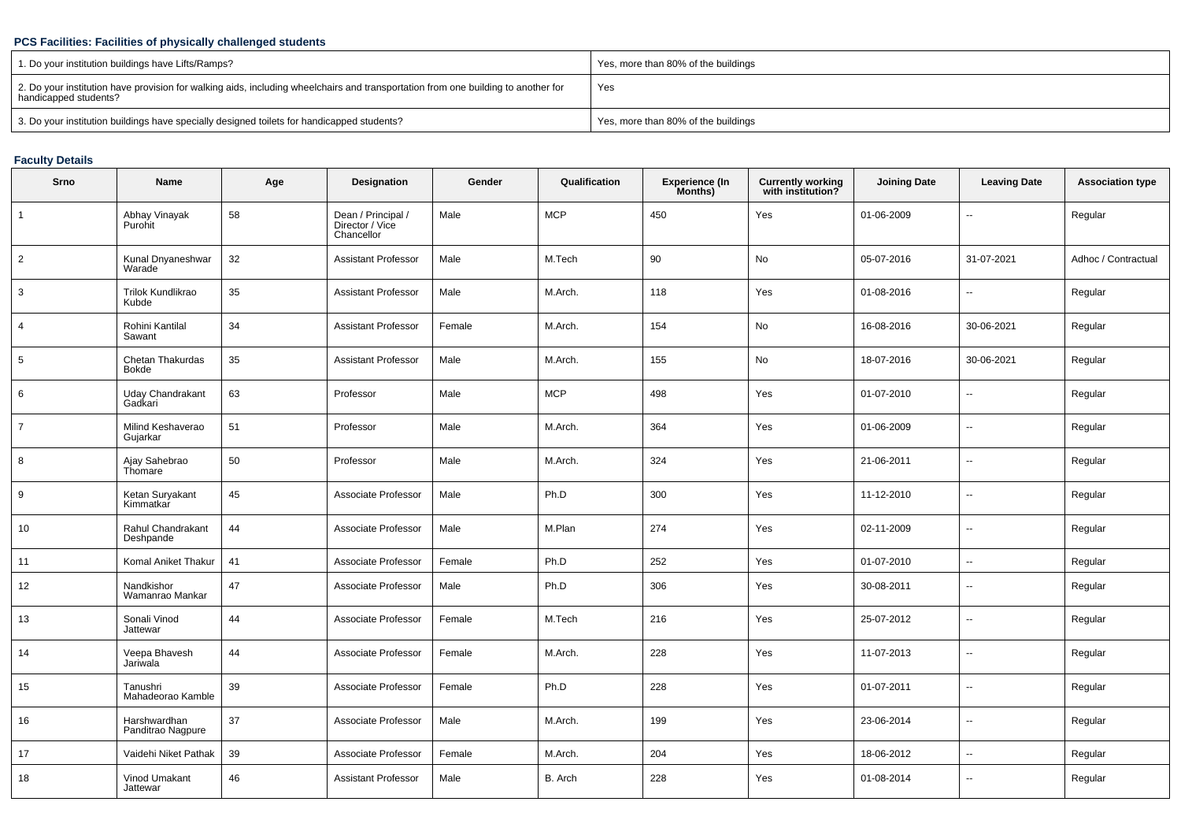### **PCS Facilities: Facilities of physically challenged students**

| 1. Do your institution buildings have Lifts/Ramps?                                                                                                         | Yes, more than 80% of the buildings |
|------------------------------------------------------------------------------------------------------------------------------------------------------------|-------------------------------------|
| 2. Do your institution have provision for walking aids, including wheelchairs and transportation from one building to another for<br>handicapped students? | Yes                                 |
| 3. Do your institution buildings have specially designed toilets for handicapped students?                                                                 | Yes, more than 80% of the buildings |

## **Faculty Details**

| Srno           | Name                              | Age | Designation                                         | Gender | Qualification | <b>Experience (In</b><br>Months) | <b>Currently working</b><br>with institution? | <b>Joining Date</b> | <b>Leaving Date</b>      | <b>Association type</b> |
|----------------|-----------------------------------|-----|-----------------------------------------------------|--------|---------------|----------------------------------|-----------------------------------------------|---------------------|--------------------------|-------------------------|
| 1              | Abhay Vinayak<br>Purohit          | 58  | Dean / Principal /<br>Director / Vice<br>Chancellor | Male   | <b>MCP</b>    | 450                              | Yes                                           | 01-06-2009          | -−                       | Regular                 |
| $\overline{c}$ | Kunal Dnyaneshwar<br>Warade       | 32  | <b>Assistant Professor</b>                          | Male   | M.Tech        | 90                               | No                                            | 05-07-2016          | 31-07-2021               | Adhoc / Contractual     |
| 3              | Trilok Kundlikrao<br>Kubde        | 35  | <b>Assistant Professor</b>                          | Male   | M.Arch.       | 118                              | Yes                                           | 01-08-2016          | $\overline{a}$           | Regular                 |
| $\overline{4}$ | Rohini Kantilal<br>Sawant         | 34  | <b>Assistant Professor</b>                          | Female | M.Arch.       | 154                              | No                                            | 16-08-2016          | 30-06-2021               | Regular                 |
| 5              | Chetan Thakurdas<br>Bokde         | 35  | <b>Assistant Professor</b>                          | Male   | M.Arch.       | 155                              | No                                            | 18-07-2016          | 30-06-2021               | Regular                 |
| 6              | Uday Chandrakant<br>Gadkari       | 63  | Professor                                           | Male   | <b>MCP</b>    | 498                              | Yes                                           | 01-07-2010          | $\overline{a}$           | Regular                 |
| $\overline{7}$ | Milind Keshaverao<br>Gujarkar     | 51  | Professor                                           | Male   | M.Arch.       | 364                              | Yes                                           | 01-06-2009          | --                       | Regular                 |
| 8              | Ajay Sahebrao<br>Thomare          | 50  | Professor                                           | Male   | M.Arch.       | 324                              | Yes                                           | 21-06-2011          | --                       | Regular                 |
| 9              | Ketan Suryakant<br>Kimmatkar      | 45  | Associate Professor                                 | Male   | Ph.D          | 300                              | Yes                                           | 11-12-2010          | $\overline{\phantom{a}}$ | Regular                 |
| 10             | Rahul Chandrakant<br>Deshpande    | 44  | Associate Professor                                 | Male   | M.Plan        | 274                              | Yes                                           | 02-11-2009          | $\overline{\phantom{a}}$ | Regular                 |
| 11             | Komal Aniket Thakur               | 41  | Associate Professor                                 | Female | Ph.D          | 252                              | Yes                                           | 01-07-2010          | $\mathbf{u}$             | Regular                 |
| 12             | Nandkishor<br>Wamanrao Mankar     | 47  | Associate Professor                                 | Male   | Ph.D          | 306                              | Yes                                           | 30-08-2011          | $\overline{\phantom{a}}$ | Regular                 |
| 13             | Sonali Vinod<br>Jattewar          | 44  | Associate Professor                                 | Female | M.Tech        | 216                              | Yes                                           | 25-07-2012          | $\sim$                   | Regular                 |
| 14             | Veepa Bhavesh<br>Jariwala         | 44  | Associate Professor                                 | Female | M.Arch.       | 228                              | Yes                                           | 11-07-2013          | $\sim$                   | Regular                 |
| 15             | Tanushri<br>Mahadeorao Kamble     | 39  | Associate Professor                                 | Female | Ph.D          | 228                              | Yes                                           | 01-07-2011          | $\sim$                   | Regular                 |
| 16             | Harshwardhan<br>Panditrao Nagpure | 37  | Associate Professor                                 | Male   | M.Arch.       | 199                              | Yes                                           | 23-06-2014          | $\sim$                   | Regular                 |
| 17             | Vaidehi Niket Pathak              | 39  | Associate Professor                                 | Female | M.Arch.       | 204                              | Yes                                           | 18-06-2012          | $\sim$                   | Regular                 |
| 18             | Vinod Umakant<br>Jattewar         | 46  | <b>Assistant Professor</b>                          | Male   | B. Arch       | 228                              | Yes                                           | 01-08-2014          | $\overline{\phantom{a}}$ | Regular                 |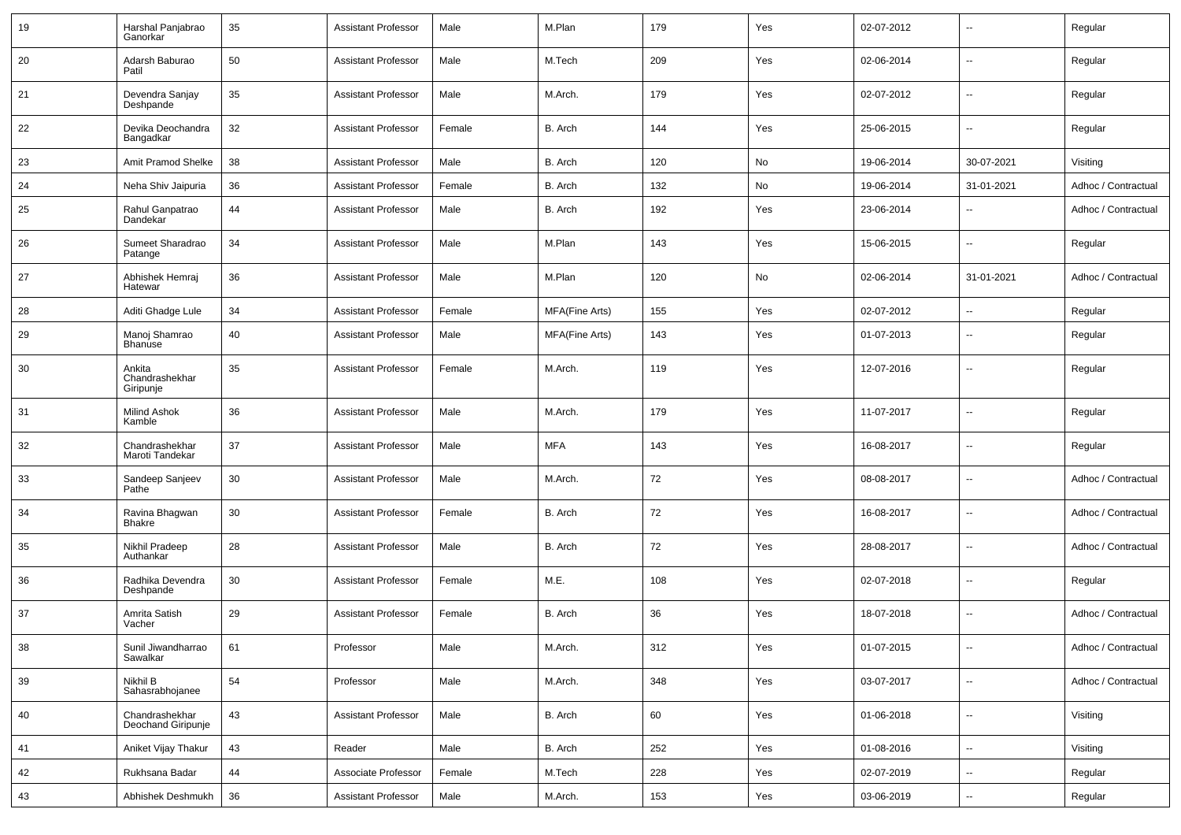| 19 | Harshal Panjabrao<br>Ganorkar         | 35 | <b>Assistant Professor</b> | Male   | M.Plan         | 179 | Yes | 02-07-2012 | $\overline{\phantom{a}}$ | Regular             |
|----|---------------------------------------|----|----------------------------|--------|----------------|-----|-----|------------|--------------------------|---------------------|
| 20 | Adarsh Baburao<br>Patil               | 50 | <b>Assistant Professor</b> | Male   | M.Tech         | 209 | Yes | 02-06-2014 | $\sim$                   | Regular             |
| 21 | Devendra Sanjay<br>Deshpande          | 35 | <b>Assistant Professor</b> | Male   | M.Arch.        | 179 | Yes | 02-07-2012 | $\sim$                   | Regular             |
| 22 | Devika Deochandra<br>Bangadkar        | 32 | <b>Assistant Professor</b> | Female | B. Arch        | 144 | Yes | 25-06-2015 | $\sim$                   | Regular             |
| 23 | Amit Pramod Shelke                    | 38 | <b>Assistant Professor</b> | Male   | B. Arch        | 120 | No  | 19-06-2014 | 30-07-2021               | Visiting            |
| 24 | Neha Shiv Jaipuria                    | 36 | <b>Assistant Professor</b> | Female | B. Arch        | 132 | No  | 19-06-2014 | 31-01-2021               | Adhoc / Contractual |
| 25 | Rahul Ganpatrao<br>Dandekar           | 44 | <b>Assistant Professor</b> | Male   | B. Arch        | 192 | Yes | 23-06-2014 |                          | Adhoc / Contractual |
| 26 | Sumeet Sharadrao<br>Patange           | 34 | <b>Assistant Professor</b> | Male   | M.Plan         | 143 | Yes | 15-06-2015 | $\overline{\phantom{a}}$ | Regular             |
| 27 | Abhishek Hemraj<br>Hatewar            | 36 | <b>Assistant Professor</b> | Male   | M.Plan         | 120 | No  | 02-06-2014 | 31-01-2021               | Adhoc / Contractual |
| 28 | Aditi Ghadge Lule                     | 34 | <b>Assistant Professor</b> | Female | MFA(Fine Arts) | 155 | Yes | 02-07-2012 | $\overline{\phantom{a}}$ | Regular             |
| 29 | Manoj Shamrao<br><b>Bhanuse</b>       | 40 | <b>Assistant Professor</b> | Male   | MFA(Fine Arts) | 143 | Yes | 01-07-2013 | $-$                      | Regular             |
| 30 | Ankita<br>Chandrashekhar<br>Giripunje | 35 | <b>Assistant Professor</b> | Female | M.Arch.        | 119 | Yes | 12-07-2016 | --                       | Regular             |
| 31 | Milind Ashok<br>Kamble                | 36 | <b>Assistant Professor</b> | Male   | M.Arch.        | 179 | Yes | 11-07-2017 | $\overline{\phantom{a}}$ | Regular             |
| 32 | Chandrashekhar<br>Maroti Tandekar     | 37 | <b>Assistant Professor</b> | Male   | <b>MFA</b>     | 143 | Yes | 16-08-2017 | $\overline{\phantom{a}}$ | Regular             |
| 33 | Sandeep Sanjeev<br>Pathe              | 30 | <b>Assistant Professor</b> | Male   | M.Arch.        | 72  | Yes | 08-08-2017 | $\sim$                   | Adhoc / Contractual |
| 34 | Ravina Bhagwan<br><b>Bhakre</b>       | 30 | <b>Assistant Professor</b> | Female | B. Arch        | 72  | Yes | 16-08-2017 | --                       | Adhoc / Contractual |
| 35 | Nikhil Pradeep<br>Authankar           | 28 | <b>Assistant Professor</b> | Male   | B. Arch        | 72  | Yes | 28-08-2017 | $\overline{\phantom{a}}$ | Adhoc / Contractual |
| 36 | Radhika Devendra<br>Deshpande         | 30 | <b>Assistant Professor</b> | Female | M.E.           | 108 | Yes | 02-07-2018 | $\sim$                   | Regular             |
| 37 | Amrita Satish<br>Vacher               | 29 | <b>Assistant Professor</b> | Female | B. Arch        | 36  | Yes | 18-07-2018 | $\overline{\phantom{a}}$ | Adhoc / Contractual |
| 38 | Sunil Jiwandharrao<br>Sawalkar        | 61 | Professor                  | Male   | M.Arch.        | 312 | Yes | 01-07-2015 | $\sim$                   | Adhoc / Contractual |
| 39 | Nikhil B<br>Sahasrabhojanee           | 54 | Professor                  | Male   | M.Arch.        | 348 | Yes | 03-07-2017 | $\sim$                   | Adhoc / Contractual |
| 40 | Chandrashekhar<br>Deochand Giripunje  | 43 | <b>Assistant Professor</b> | Male   | B. Arch        | 60  | Yes | 01-06-2018 | $\sim$                   | Visiting            |
| 41 | Aniket Vijay Thakur                   | 43 | Reader                     | Male   | B. Arch        | 252 | Yes | 01-08-2016 | $\sim$                   | Visiting            |
| 42 | Rukhsana Badar                        | 44 | Associate Professor        | Female | M.Tech         | 228 | Yes | 02-07-2019 | ш.                       | Regular             |
| 43 | Abhishek Deshmukh                     | 36 | <b>Assistant Professor</b> | Male   | M.Arch.        | 153 | Yes | 03-06-2019 | $\overline{\phantom{a}}$ | Regular             |